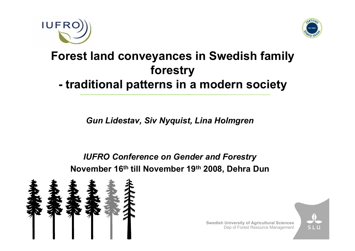



#### **Forest land conveyances in Swedish family forestry traditional patterns in a modern society**

*Gun Lidestav, Siv Nyquist, Lina Holmgren*

*IUFRO Conference on Gender and Forestry* **November 16th till November 19th 2008, Dehra Dun**



**Swedish University of Agricultural Sciences** Dep of Forest Resource Management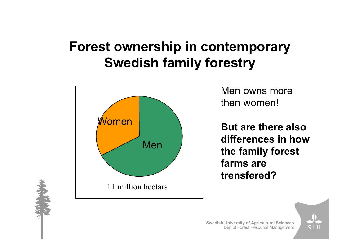#### **Forest ownership in contemporary Swedish family forestry**



Men owns more then women!

**But are there also differences in how the family forest farms are trensfered?**



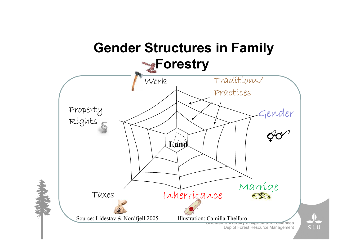### **Gender Structures in Family Forestry**



Dep of Forest Resource Management

**SL**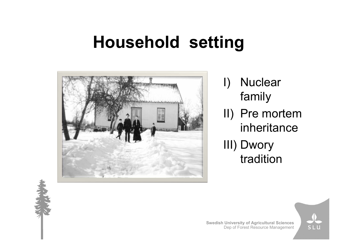# **Household setting**



I) Nuclear family II) Pre mortem inheritance III) Dwory tradition



**Swedish University of Agricultural Sciences** Dep of Forest Resource Management

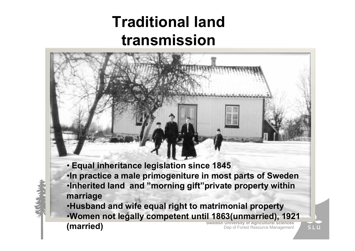## **Traditional land transmission**

- **Equal inheritance legislation since 1845**
- •**In practice a male primogeniture in most parts of Sweden** •**Inherited land and "morning gift"private property within marriage**

**Swedish University of Agricultural Sciences** Dep of Forest Resource Management •**Husband and wife equal right to matrimonial property** •**Women not legally competent until 1863(unmarried), 1921 (married)**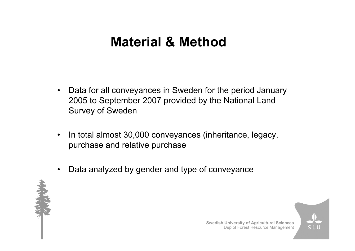### **Material & Method**

- $\bullet$ Data for all conveyances in Sweden for the period January 2005 to September 2007 provided by the National Land Survey of Sweden
- $\bullet$  In total almost 30,000 conveyances (inheritance, legacy, purchase and relative purchase
- •Data analyzed by gender and type of conveyance



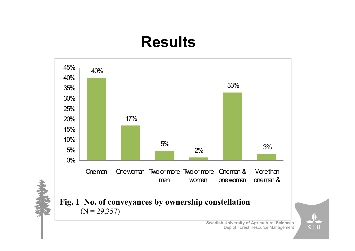## **Results**



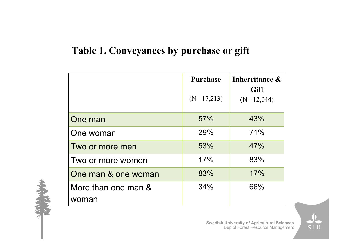#### **Table 1. Conveyances by purchase or gift**

|                              | <b>Purchase</b> | Inherritance &       |
|------------------------------|-----------------|----------------------|
|                              | $(N=17,213)$    | Gift<br>$(N=12,044)$ |
| One man                      | 57%             | 43%                  |
| One woman                    | 29%             | 71%                  |
| Two or more men              | 53%             | 47%                  |
| Two or more women            | 17%             | 83%                  |
| One man & one woman          | 83%             | 17%                  |
| More than one man &<br>woman | 34%             | 66%                  |



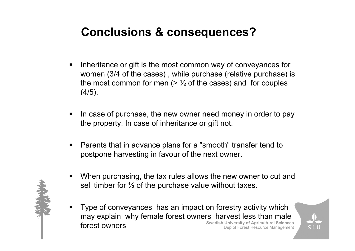#### **Conclusions & consequences?**

- Inheritance or gift is the most common way of conveyances for women (3/4 of the cases) , while purchase (relative purchase) is the most common for men  $($ >  $\frac{1}{2}$  of the cases) and for couples  $(4/5)$ .
- In case of purchase, the new owner need money in order to pay the property. In case of inheritance or gift not.
- Parents that in advance plans for a "smooth" transfer tend to postpone harvesting in favour of the next owner.
- When purchasing, the tax rules allows the new owner to cut and sell timber for  $\%$  of the purchase value without taxes.
- **Swedish University of Agricultural Sciences** Dep of Forest Resource Management ■ Type of conveyances has an impact on forestry activity which may explain why female forest owners harvest less than male forest owners